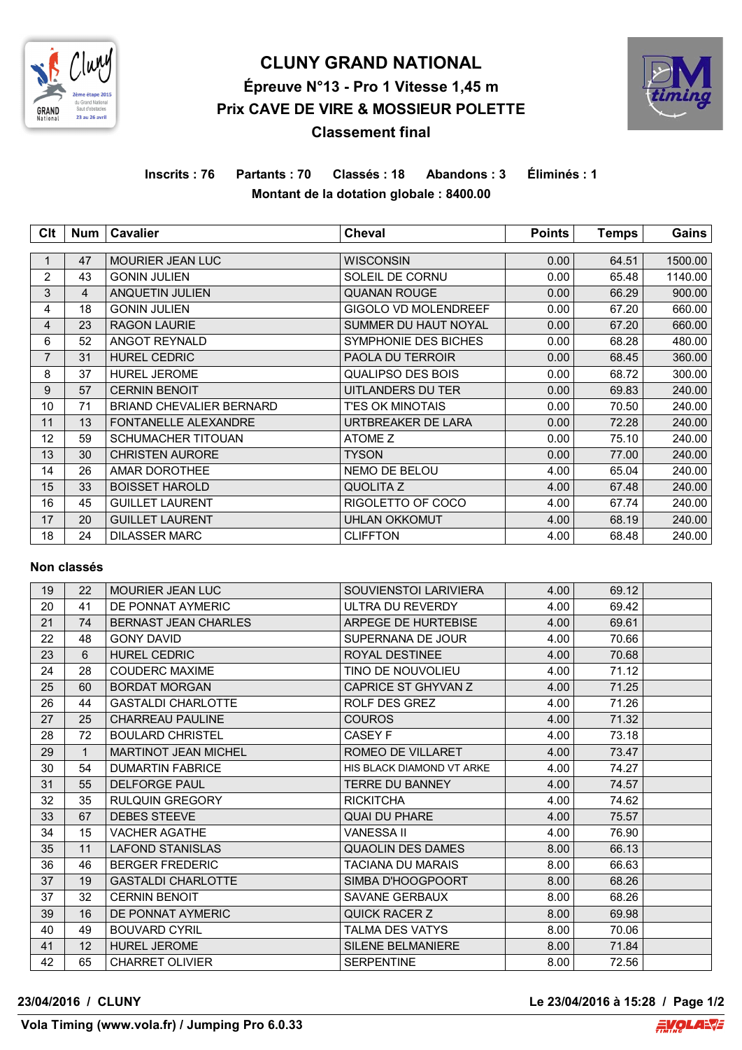

# **CLUNY GRAND NATIONAL Épreuve N°13 - Pro 1 Vitesse 1,45 m Prix CAVE DE VIRE & MOSSIEUR POLETTE Classement final**



**Inscrits : 76 Partants : 70 Classés : 18 Abandons : 3 Éliminés : 1 Montant de la dotation globale : 8400.00**

| Clt            | Num | <b>Cavalier</b>                 | <b>Cheval</b>               | <b>Points</b> | <b>Temps</b> | Gains   |
|----------------|-----|---------------------------------|-----------------------------|---------------|--------------|---------|
|                |     |                                 |                             |               |              |         |
| 1              | 47  | <b>MOURIER JEAN LUC</b>         | <b>WISCONSIN</b>            | 0.00          | 64.51        | 1500.00 |
| $\overline{2}$ | 43  | <b>GONIN JULIEN</b>             | SOLEIL DE CORNU             | 0.00          | 65.48        | 1140.00 |
| 3              | 4   | ANQUETIN JULIEN                 | <b>QUANAN ROUGE</b>         | 0.00          | 66.29        | 900.00  |
| 4              | 18  | <b>GONIN JULIEN</b>             | <b>GIGOLO VD MOLENDREEF</b> | 0.00          | 67.20        | 660.00  |
| 4              | 23  | <b>RAGON LAURIE</b>             | SUMMER DU HAUT NOYAL        | 0.00          | 67.20        | 660.00  |
| 6              | 52  | <b>ANGOT REYNALD</b>            | <b>SYMPHONIE DES BICHES</b> | 0.00          | 68.28        | 480.00  |
| $\overline{7}$ | 31  | <b>HUREL CEDRIC</b>             | PAOLA DU TERROIR            | 0.00          | 68.45        | 360.00  |
| 8              | 37  | <b>HUREL JEROME</b>             | QUALIPSO DES BOIS           | 0.00          | 68.72        | 300.00  |
| 9              | 57  | <b>CERNIN BENOIT</b>            | UITLANDERS DU TER           | 0.00          | 69.83        | 240.00  |
| 10             | 71  | <b>BRIAND CHEVALIER BERNARD</b> | T'ES OK MINOTAIS            | 0.00          | 70.50        | 240.00  |
| 11             | 13  | <b>FONTANELLE ALEXANDRE</b>     | URTBREAKER DE LARA          | 0.00          | 72.28        | 240.00  |
| 12             | 59  | <b>SCHUMACHER TITOUAN</b>       | ATOME Z                     | 0.00          | 75.10        | 240.00  |
| 13             | 30  | <b>CHRISTEN AURORE</b>          | <b>TYSON</b>                | 0.00          | 77.00        | 240.00  |
| 14             | 26  | AMAR DOROTHEE                   | <b>NEMO DE BELOU</b>        | 4.00          | 65.04        | 240.00  |
| 15             | 33  | <b>BOISSET HAROLD</b>           | QUOLITA Z                   | 4.00          | 67.48        | 240.00  |
| 16             | 45  | <b>GUILLET LAURENT</b>          | RIGOLETTO OF COCO           | 4.00          | 67.74        | 240.00  |
| 17             | 20  | <b>GUILLET LAURENT</b>          | UHLAN OKKOMUT               | 4.00          | 68.19        | 240.00  |
| 18             | 24  | <b>DILASSER MARC</b>            | <b>CLIFFTON</b>             | 4.00          | 68.48        | 240.00  |

### **Non classés**

| 19 | 22           | <b>MOURIER JEAN LUC</b>     | SOUVIENSTOI LARIVIERA     | 4.00 | 69.12 |  |
|----|--------------|-----------------------------|---------------------------|------|-------|--|
| 20 | 41           | DE PONNAT AYMERIC           | ULTRA DU REVERDY          | 4.00 | 69.42 |  |
| 21 | 74           | <b>BERNAST JEAN CHARLES</b> | ARPEGE DE HURTEBISE       | 4.00 | 69.61 |  |
| 22 | 48           | <b>GONY DAVID</b>           | SUPERNANA DE JOUR         | 4.00 | 70.66 |  |
| 23 | 6            | <b>HUREL CEDRIC</b>         | ROYAL DESTINEE            | 4.00 | 70.68 |  |
| 24 | 28           | <b>COUDERC MAXIME</b>       | TINO DE NOUVOLIEU         | 4.00 | 71.12 |  |
| 25 | 60           | <b>BORDAT MORGAN</b>        | CAPRICE ST GHYVAN Z       | 4.00 | 71.25 |  |
| 26 | 44           | <b>GASTALDI CHARLOTTE</b>   | ROLF DES GREZ             | 4.00 | 71.26 |  |
| 27 | 25           | <b>CHARREAU PAULINE</b>     | <b>COUROS</b>             | 4.00 | 71.32 |  |
| 28 | 72           | <b>BOULARD CHRISTEL</b>     | CASEY F                   | 4.00 | 73.18 |  |
| 29 | $\mathbf{1}$ | <b>MARTINOT JEAN MICHEL</b> | ROMEO DE VILLARET         | 4.00 | 73.47 |  |
| 30 | 54           | <b>DUMARTIN FABRICE</b>     | HIS BLACK DIAMOND VT ARKE | 4.00 | 74.27 |  |
| 31 | 55           | <b>DELFORGE PAUL</b>        | <b>TERRE DU BANNEY</b>    | 4.00 | 74.57 |  |
| 32 | 35           | <b>RULQUIN GREGORY</b>      | <b>RICKITCHA</b>          | 4.00 | 74.62 |  |
| 33 | 67           | DEBES STEEVE                | <b>QUAI DU PHARE</b>      | 4.00 | 75.57 |  |
| 34 | 15           | <b>VACHER AGATHE</b>        | <b>VANESSA II</b>         | 4.00 | 76.90 |  |
| 35 | 11           | <b>LAFOND STANISLAS</b>     | <b>QUAOLIN DES DAMES</b>  | 8.00 | 66.13 |  |
| 36 | 46           | <b>BERGER FREDERIC</b>      | <b>TACIANA DU MARAIS</b>  | 8.00 | 66.63 |  |
| 37 | 19           | <b>GASTALDI CHARLOTTE</b>   | SIMBA D'HOOGPOORT         | 8.00 | 68.26 |  |
| 37 | 32           | <b>CERNIN BENOIT</b>        | <b>SAVANE GERBAUX</b>     | 8.00 | 68.26 |  |
| 39 | 16           | DE PONNAT AYMERIC           | <b>QUICK RACER Z</b>      | 8.00 | 69.98 |  |
| 40 | 49           | <b>BOUVARD CYRIL</b>        | <b>TALMA DES VATYS</b>    | 8.00 | 70.06 |  |
| 41 | 12           | <b>HUREL JEROME</b>         | <b>SILENE BELMANIERE</b>  | 8.00 | 71.84 |  |
| 42 | 65           | <b>CHARRET OLIVIER</b>      | <b>SERPENTINE</b>         | 8.00 | 72.56 |  |

**23/04/2016 / CLUNY Le 23/04/2016 à 15:28 / Page 1/2**